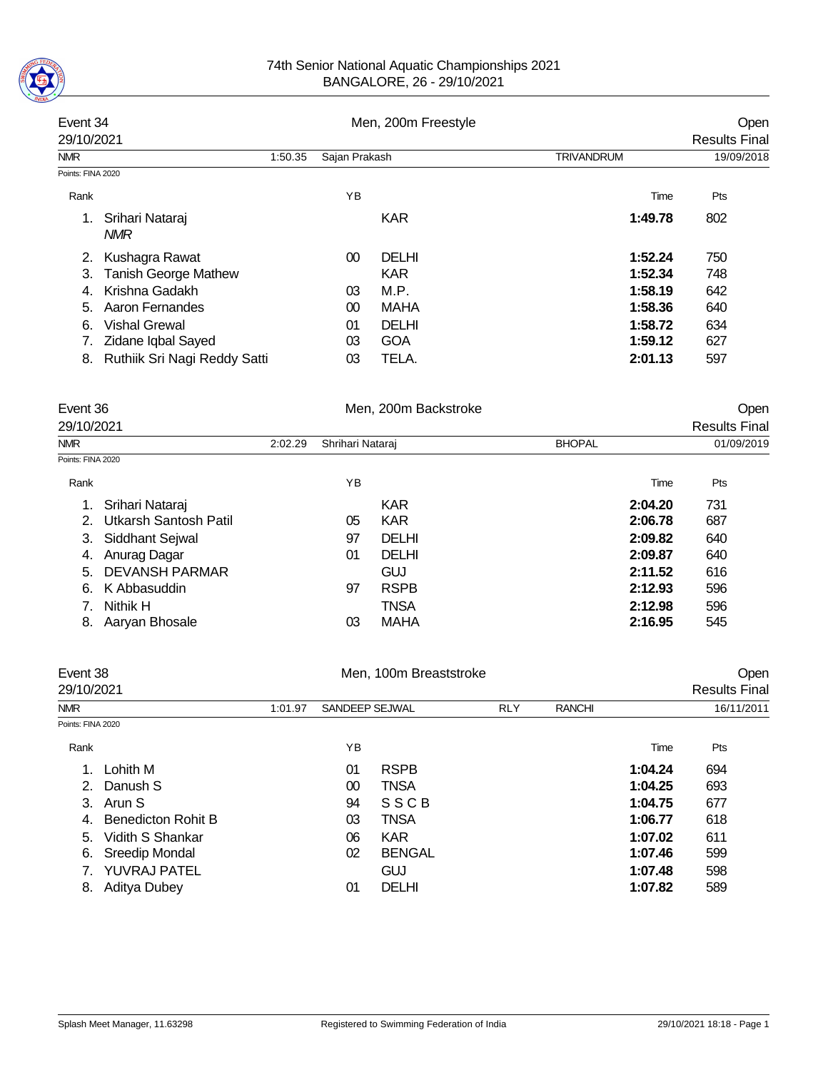

| Event 34          |                               |         |               | Men, 200m Freestyle |                      | Open       |
|-------------------|-------------------------------|---------|---------------|---------------------|----------------------|------------|
| 29/10/2021        |                               |         |               |                     | <b>Results Final</b> |            |
| <b>NMR</b>        |                               | 1:50.35 | Sajan Prakash |                     | <b>TRIVANDRUM</b>    | 19/09/2018 |
| Points: FINA 2020 |                               |         |               |                     |                      |            |
| Rank              |                               |         | <b>YB</b>     |                     | Time                 | Pts        |
| 1.                | Srihari Nataraj<br><b>NMR</b> |         |               | <b>KAR</b>          | 1:49.78              | 802        |
| 2.                | Kushagra Rawat                |         | 00            | <b>DELHI</b>        | 1:52.24              | 750        |
| 3.                | <b>Tanish George Mathew</b>   |         |               | <b>KAR</b>          | 1:52.34              | 748        |
| 4                 | Krishna Gadakh                |         | 03            | M.P.                | 1:58.19              | 642        |
| 5.                | Aaron Fernandes               |         | 00            | MAHA                | 1:58.36              | 640        |
| 6.                | <b>Vishal Grewal</b>          |         | 01            | <b>DELHI</b>        | 1:58.72              | 634        |
|                   | Zidane Iqbal Sayed            |         | 03            | <b>GOA</b>          | 1:59.12              | 627        |
| 8.                | Ruthiik Sri Nagi Reddy Satti  |         | 03            | TELA.               | 2:01.13              | 597        |
|                   |                               |         |               |                     |                      |            |

| Event 36                                |         |                  | Men, 200m Backstroke |               |         | Open                 |  |  |
|-----------------------------------------|---------|------------------|----------------------|---------------|---------|----------------------|--|--|
| 29/10/2021                              |         |                  |                      |               |         | <b>Results Final</b> |  |  |
| <b>NMR</b>                              | 2:02.29 | Shrihari Nataraj |                      | <b>BHOPAL</b> |         | 01/09/2019           |  |  |
| Points: FINA 2020                       |         |                  |                      |               |         |                      |  |  |
| Rank                                    |         | ΥB               |                      |               | Time    | Pts                  |  |  |
| Srihari Nataraj<br>1.                   |         |                  | <b>KAR</b>           |               | 2:04.20 | 731                  |  |  |
| Utkarsh Santosh Patil<br>2 <sup>1</sup> |         | 05               | <b>KAR</b>           |               | 2:06.78 | 687                  |  |  |
| Siddhant Sejwal<br>3.                   |         | 97               | <b>DELHI</b>         |               | 2:09.82 | 640                  |  |  |
| Anurag Dagar<br>4.                      |         | 01               | <b>DELHI</b>         |               | 2:09.87 | 640                  |  |  |
| <b>DEVANSH PARMAR</b><br>5.             |         |                  | <b>GUJ</b>           |               | 2:11.52 | 616                  |  |  |
| K Abbasuddin<br>6.                      |         | 97               | <b>RSPB</b>          |               | 2:12.93 | 596                  |  |  |
| Nithik H                                |         |                  | <b>TNSA</b>          |               | 2:12.98 | 596                  |  |  |
| Aaryan Bhosale<br>8.                    |         | 03               | MAHA                 |               | 2:16.95 | 545                  |  |  |

|                   | Event 38<br>Men. 100m Breaststroke<br>29/10/2021 |         |                |               |            |               |         | Open<br><b>Results Final</b> |  |  |
|-------------------|--------------------------------------------------|---------|----------------|---------------|------------|---------------|---------|------------------------------|--|--|
| <b>NMR</b>        |                                                  | 1:01.97 | SANDEEP SEJWAL |               | <b>RLY</b> | <b>RANCHI</b> |         | 16/11/2011                   |  |  |
| Points: FINA 2020 |                                                  |         |                |               |            |               |         |                              |  |  |
| Rank              |                                                  |         | YB             |               |            |               | Time    | Pts                          |  |  |
| $\mathbf 1$ .     | Lohith M                                         |         | 01             | <b>RSPB</b>   |            |               | 1:04.24 | 694                          |  |  |
| 2 <sup>1</sup>    | Danush S                                         |         | 00             | TNSA          |            |               | 1:04.25 | 693                          |  |  |
| 3.                | Arun S                                           |         | 94             | SSCB          |            |               | 1:04.75 | 677                          |  |  |
| 4.                | <b>Benedicton Rohit B</b>                        |         | 03             | TNSA          |            |               | 1:06.77 | 618                          |  |  |
| 5.                | Vidith S Shankar                                 |         | 06             | <b>KAR</b>    |            |               | 1:07.02 | 611                          |  |  |
| 6.                | Sreedip Mondal                                   |         | 02             | <b>BENGAL</b> |            |               | 1:07.46 | 599                          |  |  |
|                   | <b>YUVRAJ PATEL</b>                              |         |                | GUJ           |            |               | 1:07.48 | 598                          |  |  |
| 8.                | Aditya Dubey                                     |         | 01             | <b>DELHI</b>  |            |               | 1:07.82 | 589                          |  |  |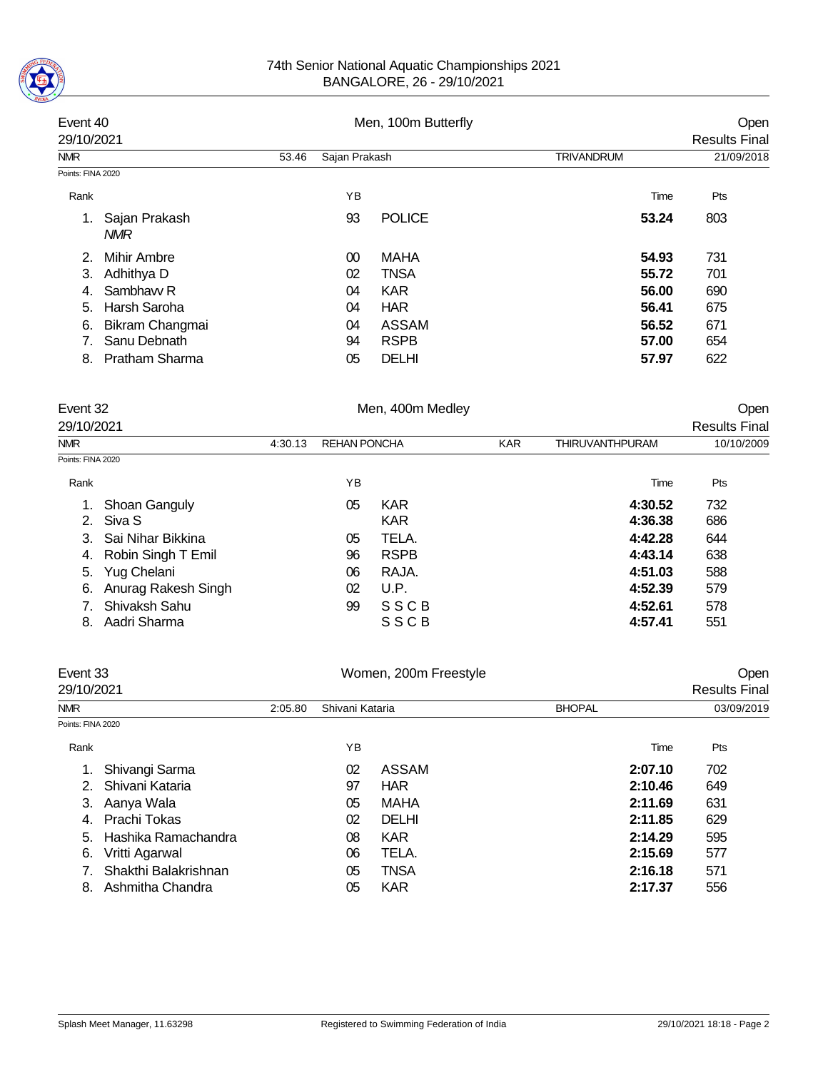

## 74th Senior National Aquatic Championships 2021 BANGALORE, 26 - 29/10/2021

|                   | Event 40<br>Men, 100m Butterfly<br>29/10/2021 |       | Open<br><b>Results Final</b> |               |                   |            |
|-------------------|-----------------------------------------------|-------|------------------------------|---------------|-------------------|------------|
| <b>NMR</b>        |                                               | 53.46 | Sajan Prakash                |               | <b>TRIVANDRUM</b> | 21/09/2018 |
| Points: FINA 2020 |                                               |       |                              |               |                   |            |
| Rank              |                                               |       | YB                           |               | Time              | Pts        |
| 1.                | Sajan Prakash<br><b>NMR</b>                   |       | 93                           | <b>POLICE</b> | 53.24             | 803        |
| 2.                | Mihir Ambre                                   |       | $00\,$                       | MAHA          | 54.93             | 731        |
| 3.                | Adhithya D                                    |       | 02                           | <b>TNSA</b>   | 55.72             | 701        |
| 4.                | Sambhaw R                                     |       | 04                           | <b>KAR</b>    | 56.00             | 690        |
| 5.                | Harsh Saroha                                  |       | 04                           | <b>HAR</b>    | 56.41             | 675        |
| 6.                | Bikram Changmai                               |       | 04                           | ASSAM         | 56.52             | 671        |
|                   | Sanu Debnath                                  |       | 94                           | <b>RSPB</b>   | 57.00             | 654        |
| 8.                | <b>Pratham Sharma</b>                         |       | 05                           | <b>DELHI</b>  | 57.97             | 622        |

| Event 32          |                     |         |                     | Men, 400m Medley |            | Open                   |                      |
|-------------------|---------------------|---------|---------------------|------------------|------------|------------------------|----------------------|
| 29/10/2021        |                     |         |                     |                  |            |                        | <b>Results Final</b> |
| <b>NMR</b>        |                     | 4:30.13 | <b>REHAN PONCHA</b> |                  | <b>KAR</b> | <b>THIRUVANTHPURAM</b> | 10/10/2009           |
| Points: FINA 2020 |                     |         |                     |                  |            |                        |                      |
| Rank              |                     |         | ΥB                  |                  |            | Time                   | Pts                  |
| 1.                | Shoan Ganguly       |         | 05                  | <b>KAR</b>       |            | 4:30.52                | 732                  |
| 2.                | Siva S              |         |                     | <b>KAR</b>       |            | 4:36.38                | 686                  |
| 3.                | Sai Nihar Bikkina   |         | 05                  | TELA.            |            | 4:42.28                | 644                  |
| 4.                | Robin Singh T Emil  |         | 96                  | <b>RSPB</b>      |            | 4:43.14                | 638                  |
| 5.                | Yug Chelani         |         | 06                  | RAJA.            |            | 4:51.03                | 588                  |
| 6.                | Anurag Rakesh Singh |         | 02                  | U.P.             |            | 4:52.39                | 579                  |
|                   | Shivaksh Sahu       |         | 99                  | <b>SSCB</b>      |            | 4:52.61                | 578                  |
| 8.                | Aadri Sharma        |         |                     | SSCB             |            | 4:57.41                | 551                  |

| Event 33<br>29/10/2021 |                      |         |                 | Open<br><b>Results Final</b> |               |         |            |  |
|------------------------|----------------------|---------|-----------------|------------------------------|---------------|---------|------------|--|
| <b>NMR</b>             |                      | 2:05.80 | Shivani Kataria |                              | <b>BHOPAL</b> |         | 03/09/2019 |  |
| Points: FINA 2020      |                      |         |                 |                              |               |         |            |  |
| Rank                   |                      |         | ΥB              |                              |               | Time    | Pts        |  |
|                        | Shivangi Sarma       |         | 02              | ASSAM                        |               | 2:07.10 | 702        |  |
|                        | Shivani Kataria      |         | 97              | <b>HAR</b>                   |               | 2:10.46 | 649        |  |
| 3.                     | Aanya Wala           |         | 05              | <b>MAHA</b>                  |               | 2:11.69 | 631        |  |
| 4.                     | Prachi Tokas         |         | 02              | <b>DELHI</b>                 |               | 2:11.85 | 629        |  |
| 5.                     | Hashika Ramachandra  |         | 08              | <b>KAR</b>                   |               | 2:14.29 | 595        |  |
| 6.                     | Vritti Agarwal       |         | 06              | TELA.                        |               | 2:15.69 | 577        |  |
|                        | Shakthi Balakrishnan |         | 05              | <b>TNSA</b>                  |               | 2:16.18 | 571        |  |
| 8.                     | Ashmitha Chandra     |         | 05              | <b>KAR</b>                   |               | 2:17.37 | 556        |  |
|                        |                      |         |                 |                              |               |         |            |  |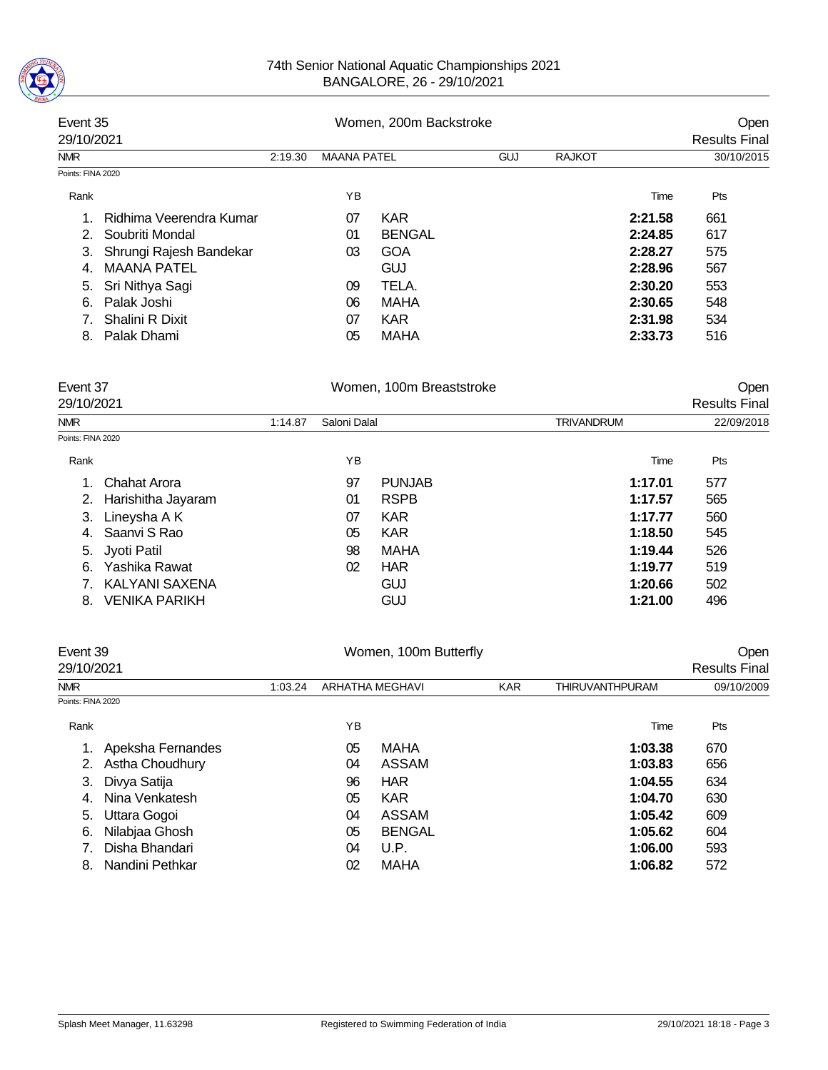

## 74th Senior National Aquatic Championships 2021 BANGALORE, 26 - 29/10/2021

| Event 35<br>29/10/2021 |                         |         | Women, 200m Backstroke |               | Open<br><b>Results Final</b> |               |         |            |
|------------------------|-------------------------|---------|------------------------|---------------|------------------------------|---------------|---------|------------|
| <b>NMR</b>             |                         | 2:19.30 | <b>MAANA PATEL</b>     |               | <b>GUJ</b>                   | <b>RAJKOT</b> |         | 30/10/2015 |
| Points: FINA 2020      |                         |         |                        |               |                              |               |         |            |
| Rank                   |                         |         | ΥB                     |               |                              |               | Time    | Pts        |
|                        | Ridhima Veerendra Kumar |         | 07                     | <b>KAR</b>    |                              |               | 2:21.58 | 661        |
| $2^{+}$                | Soubriti Mondal         |         | 01                     | <b>BENGAL</b> |                              |               | 2:24.85 | 617        |
| 3.                     | Shrungi Rajesh Bandekar |         | 03                     | <b>GOA</b>    |                              |               | 2:28.27 | 575        |
| 4                      | <b>MAANA PATEL</b>      |         |                        | <b>GUJ</b>    |                              |               | 2:28.96 | 567        |
| 5.                     | Sri Nithya Sagi         |         | 09                     | TELA.         |                              |               | 2:30.20 | 553        |
| 6.                     | Palak Joshi             |         | 06                     | MAHA          |                              |               | 2:30.65 | 548        |
|                        | Shalini R Dixit         |         | 07                     | <b>KAR</b>    |                              |               | 2:31.98 | 534        |
| 8.                     | Palak Dhami             |         | 05                     | <b>MAHA</b>   |                              |               | 2:33.73 | 516        |

| Event 37<br>29/10/2021         |         |              | Women, 100m Breaststroke |                   | Open<br><b>Results Final</b> |  |
|--------------------------------|---------|--------------|--------------------------|-------------------|------------------------------|--|
| <b>NMR</b>                     | 1:14.87 | Saloni Dalal |                          | <b>TRIVANDRUM</b> | 22/09/2018                   |  |
| Points: FINA 2020              |         |              |                          |                   |                              |  |
| Rank                           |         | ΥB           |                          | Time              | Pts                          |  |
| <b>Chahat Arora</b><br>$1_{-}$ |         | 97           | <b>PUNJAB</b>            | 1:17.01           | 577                          |  |
| Harishitha Jayaram<br>2.       |         | 01           | <b>RSPB</b>              | 1:17.57           | 565                          |  |
| Lineysha A K<br>3.             |         | 07           | <b>KAR</b>               | 1:17.77           | 560                          |  |
| Saanvi S Rao<br>4.             |         | 05           | <b>KAR</b>               | 1:18.50           | 545                          |  |
| 5. Jyoti Patil                 |         | 98           | <b>MAHA</b>              | 1:19.44           | 526                          |  |
| Yashika Rawat<br>6.            |         | 02           | <b>HAR</b>               | 1:19.77           | 519                          |  |
| KALYANI SAXENA                 |         |              | <b>GUJ</b>               | 1:20.66           | 502                          |  |
| <b>VENIKA PARIKH</b><br>8.     |         |              | GUJ                      | 1:21.00           | 496                          |  |

| Event 39<br>Women, 100m Butterfly<br>29/10/2021 |                   |    |               |                 | Open<br><b>Results Final</b> |     |            |
|-------------------------------------------------|-------------------|----|---------------|-----------------|------------------------------|-----|------------|
|                                                 | 1:03.24           |    |               | <b>KAR</b>      | <b>THIRUVANTHPURAM</b>       |     |            |
|                                                 |                   |    |               |                 |                              |     |            |
|                                                 |                   | ΥB |               |                 | Time                         | Pts |            |
| Apeksha Fernandes                               |                   | 05 | <b>MAHA</b>   |                 | 1:03.38                      | 670 |            |
| Astha Choudhury                                 |                   | 04 | <b>ASSAM</b>  |                 | 1:03.83                      | 656 |            |
| Divya Satija                                    |                   | 96 | <b>HAR</b>    |                 | 1:04.55                      | 634 |            |
| Nina Venkatesh                                  |                   | 05 | <b>KAR</b>    |                 | 1:04.70                      | 630 |            |
| Uttara Gogoi                                    |                   | 04 | ASSAM         |                 | 1:05.42                      | 609 |            |
| Nilabjaa Ghosh                                  |                   | 05 | <b>BENGAL</b> |                 | 1:05.62                      | 604 |            |
| Disha Bhandari                                  |                   | 04 | U.P.          |                 | 1:06.00                      | 593 |            |
| Nandini Pethkar                                 |                   | 02 | <b>MAHA</b>   |                 | 1:06.82                      | 572 |            |
| 3.<br>5.                                        | Points: FINA 2020 |    |               | ARHATHA MEGHAVI |                              |     | 09/10/2009 |